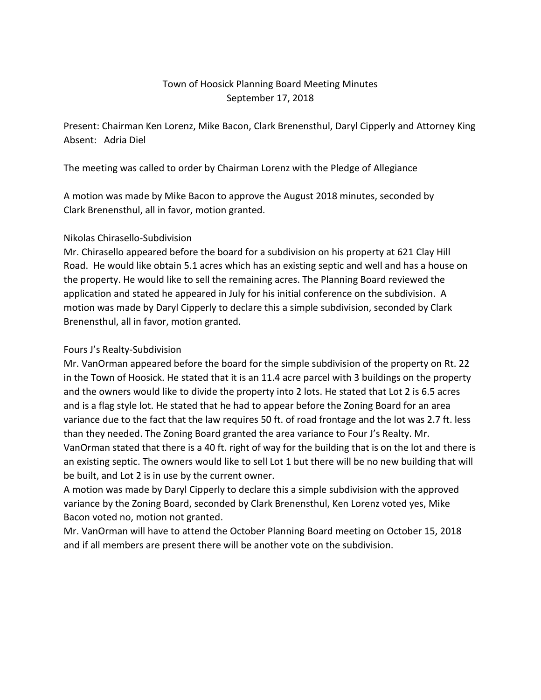# Town of Hoosick Planning Board Meeting Minutes September 17, 2018

Present: Chairman Ken Lorenz, Mike Bacon, Clark Brenensthul, Daryl Cipperly and Attorney King Absent: Adria Diel

The meeting was called to order by Chairman Lorenz with the Pledge of Allegiance

A motion was made by Mike Bacon to approve the August 2018 minutes, seconded by Clark Brenensthul, all in favor, motion granted.

## Nikolas Chirasello-Subdivision

Mr. Chirasello appeared before the board for a subdivision on his property at 621 Clay Hill Road. He would like obtain 5.1 acres which has an existing septic and well and has a house on the property. He would like to sell the remaining acres. The Planning Board reviewed the application and stated he appeared in July for his initial conference on the subdivision. A motion was made by Daryl Cipperly to declare this a simple subdivision, seconded by Clark Brenensthul, all in favor, motion granted.

#### Fours J's Realty-Subdivision

Mr. VanOrman appeared before the board for the simple subdivision of the property on Rt. 22 in the Town of Hoosick. He stated that it is an 11.4 acre parcel with 3 buildings on the property and the owners would like to divide the property into 2 lots. He stated that Lot 2 is 6.5 acres and is a flag style lot. He stated that he had to appear before the Zoning Board for an area variance due to the fact that the law requires 50 ft. of road frontage and the lot was 2.7 ft. less than they needed. The Zoning Board granted the area variance to Four J's Realty. Mr. VanOrman stated that there is a 40 ft. right of way for the building that is on the lot and there is an existing septic. The owners would like to sell Lot 1 but there will be no new building that will be built, and Lot 2 is in use by the current owner.

A motion was made by Daryl Cipperly to declare this a simple subdivision with the approved variance by the Zoning Board, seconded by Clark Brenensthul, Ken Lorenz voted yes, Mike Bacon voted no, motion not granted.

Mr. VanOrman will have to attend the October Planning Board meeting on October 15, 2018 and if all members are present there will be another vote on the subdivision.